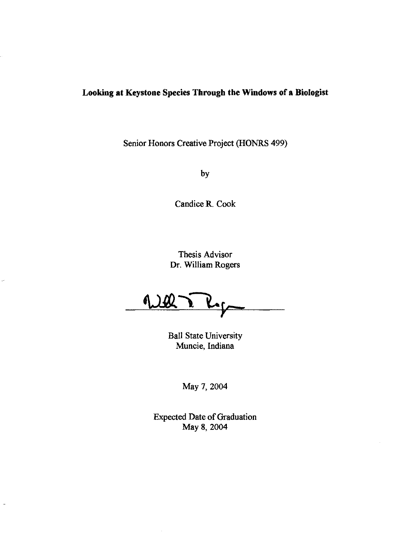## **Looking at Keystone Species Through the Windows of a Biologist**

Senior Honors Creative Project (HONRS 499)

by

Candice R. Cook

Thesis Advisor Dr. William Rogers

Well

Ball State University Muncie, Indiana

May 7, 2004

Expected Date of Graduation May 8, 2004

 $\overline{a}$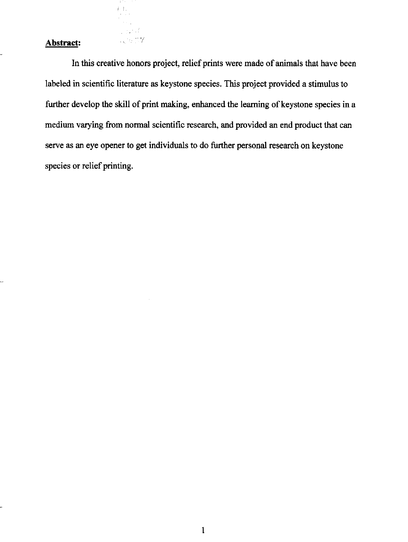# **Abstract:**  $\qquad \qquad$

 $\left\{\begin{array}{c} 1 \\ 0 \end{array}\right\}$ 

 $\mathcal{A}$  $\frac{1}{2}$  ,  $\frac{1}{2}$ 

In this creative honors project, relief prints were made of animals that have been labeled in scientific literature as keystone species. This project provided a stimulus to further develop the skill of print making, enhanced the leaming of keystone species in a medium varying from normal scientific research, and provided an end product that can serve as an eye opener to get individuals to do further personal research on keystone species or relief printing.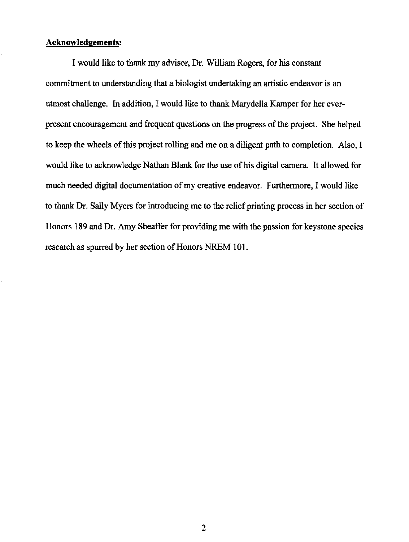### **Acknowledgements:**

I would like to thank my advisor, Dr. William Rogers, for his constant commitment to understanding that a biologist undertaking an artistic endeavor is an utmost challenge. In addition, I would like to thank Marydella Kamper for her everpresent encouragement and frequent questions on the progress of the project. She helped to keep the wheels of this project rolling and me on a diligent path to completion. Also, I would like to acknowledge Nathan Blank for the use of his digital camera. It allowed for much needed digital documentation of my creative endeavor. Furthermore, I would like to thank Dr. Sally Myers for introducing me to the relief printing process in her section of Honors 189 and Dr. Amy Sheaffer for providing me with the passion for keystone species research as spurred by her section of Honors NREM 101.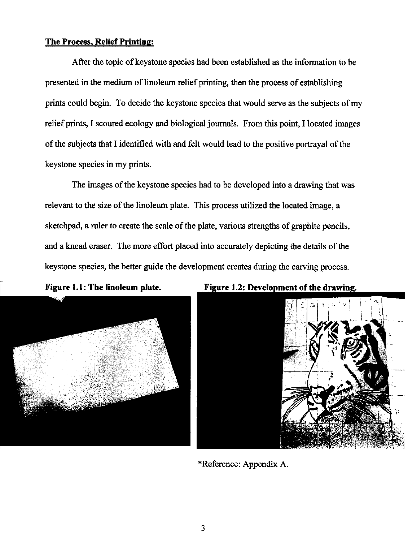### **The Process. Relief Printing:**

After the topic of keystone species had been established as the information to be presented in the medium of linoleum relief printing, then the process of establishing prints could begin. To decide the keystone species that would serve as the subjects of my relief prints, I scoured ecology and biological journals. From this point, I located images of the subjects that I identified with and felt would lead to the positive portrayal of the keystone species in my prints.

The images of the keystone species had to be developed into a drawing that was relevant to the size of the linoleum plate. This process utilized the located image, a sketchpad, a ruler to create the scale of the plate, various strengths of graphite pencils, and a knead eraser. The more effort placed into accurately depicting the details of the keystone species, the better guide the development creates during the carving process.





Figure 1.2: Development of the drawing.

\*Reference: Appendix A.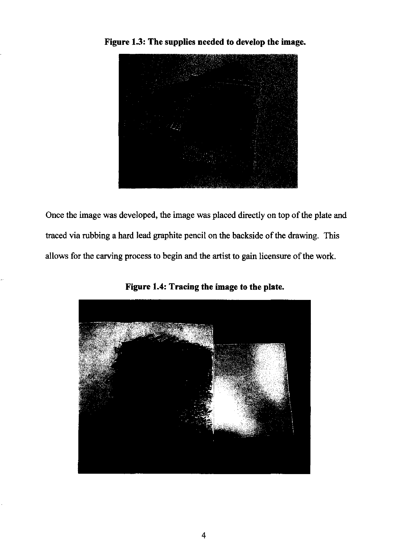

**Figure 1.3: The supplies needed to develop the image.** 

Once the image was developed, the image was placed directly on top of the plate and traced via rubbing a hard lead graphite pencil on the backside of the drawing. This allows for the carving process to begin and the artist to gain licensure of the work.



**Figure 1.4: Tracing the image to the plate.**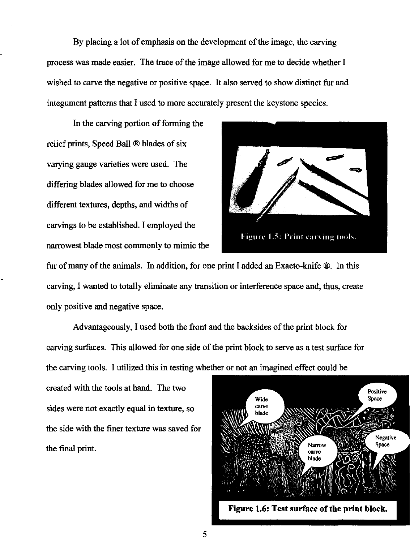By placing a lot of emphasis on the development of the image, the carving process was made easier. The trace of the image allowed for me to decide whether I wished to carve the negative or positive space. It also served to show distinct fur and integument patterns that I used to more accurately present the keystone species.

In the carving portion of forming the relief prints, Speed Ball ® blades of six varying gauge varieties were used. The differing blades allowed for me to choose different textures, depths, and widths of carvings to be established. I employed the narrowest blade most commonly to mimic the



fur of many of the animals. In addition, for one print I added an Exacto-knife ®. In this carving, I wanted to totally eliminate any transition or interference space and, thus, create only positive and negative space.

Advantageously, I used both the front and the backsides of the print block for carving surfaces. This allowed for one side of the print block to serve as a test surface for the carving tools. I utilized this in testing whether or not an imagined effect could be

created with the tools at hand. The two sides were not exactly equal in texture, so the side with the finer texture was saved for the final print.



Figure 1.6: Test surface of the print block.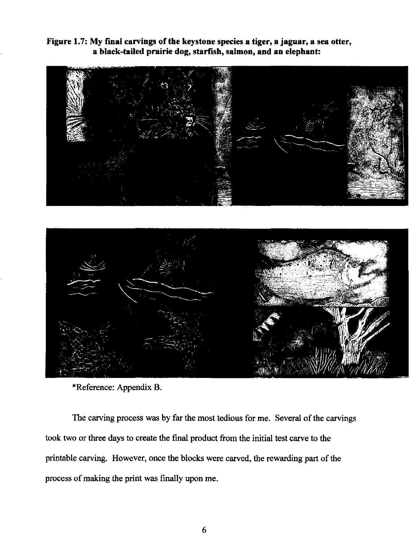Figure 1.7: My fmal carvings of the keystone species a tiger, a jaguar, a sea otter, a black-tailed prairie dog, starfish, salmon, and an elephant:





\*Reference: Appendix B.

The carving process was by far the most tedious for me. Several of the carvings took two or three days to create the final product from the initial test carve to the printable carving. However, once the blocks were carved, the rewarding part of the process of making the print was finally upon me.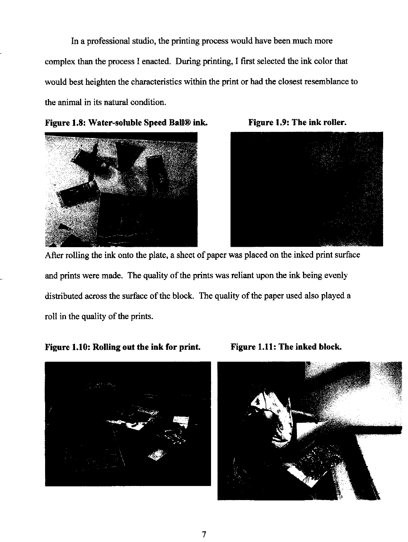In a professional studio, the printing process would have been much more complex than the process I enacted. During printing, I first selected the ink color that would best heighten the characteristics within the print or had the closest resemblance to the animal in its natural condition.







After rolling the ink onto the plate, a sheet of paper was placed on the inked print surface and prints were made. The quality of the prints was reliant upon the ink being evenly distributed across the surface of the block. The quality of the paper used also played a roll in the quality of the prints.

# Figure 1.10: Rolling out the ink for print. Figure 1.11: The inked block.





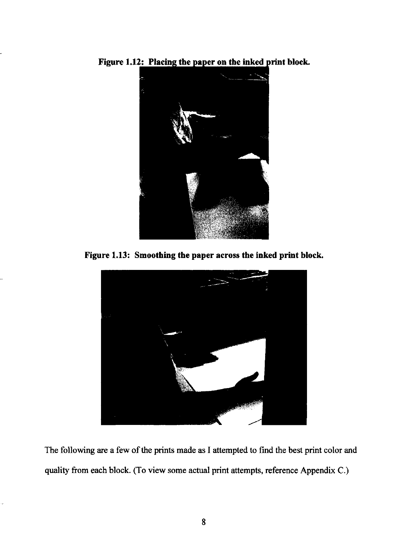



**Figure 1.13: Smoothing the paper across the inked print block.** 



The following are a few of the prints made as I attempted to find the best print color and quality from each block. (To view some actual print attempts, reference Appendix C.)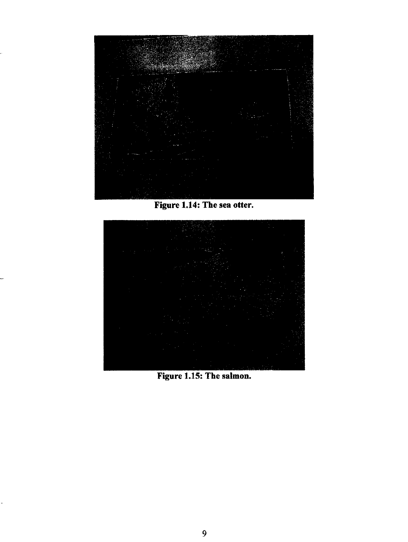

Figure 1.14: The sea otter.



Figure 1.15: The salmon.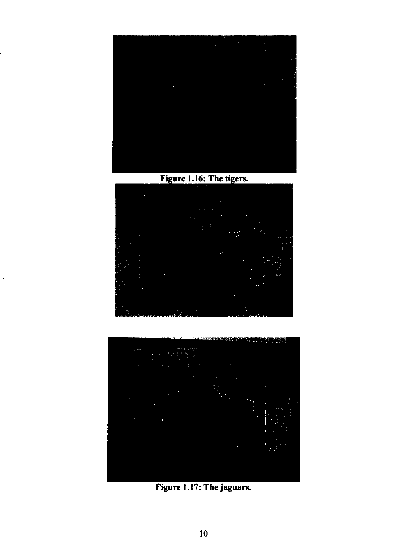

Figure 1.16: The tigers.





Figure 1.17: **The** jaguars.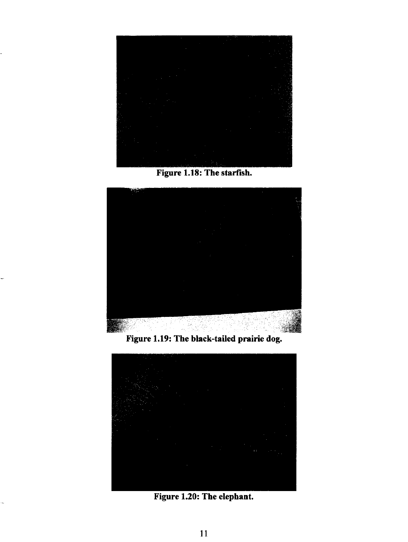

Figure 1.18: The starfish.



Figure 1.19: The black-tailed prairie dog.



Figure 1.20: The elephant.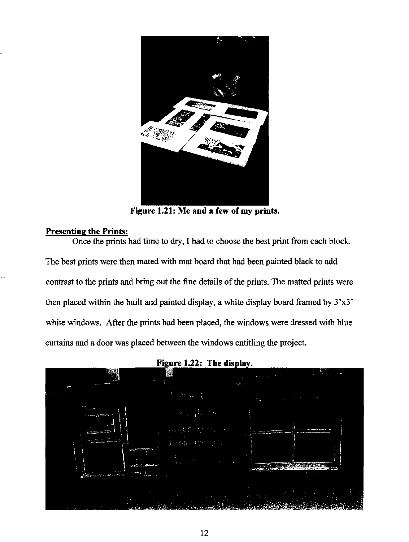

**Figure 1.21: Me and a few of my prints.** 

### **Presenting the PrintS:**

Once the prints had time to dry, I had to choose the best print from each block. The best prints were then mated with mat board that had been painted black to add contrast to the prints and bring out the fine details of the prints. The matted prints were then placed within the built and painted display, a white display board framed by  $3'x3'$ white windows. After the prints had been placed, the windows were dressed with blue curtains and a door was placed between the windows entitling the project.

Figure 1.22: The display.

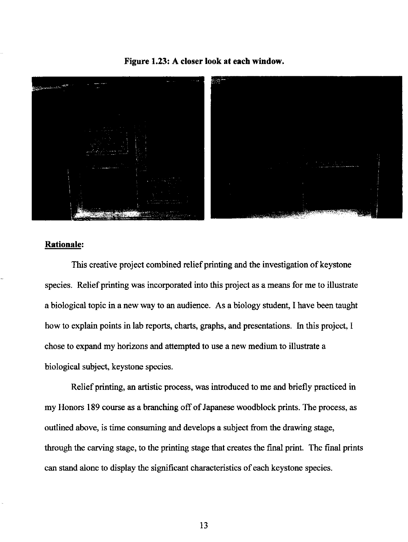### **Figure 1.23: A closer look at each window.**



#### **Rationale:**

This creative project combined relief printing and the investigation of keystone species. Relief printing was incorporated into this project as a means for me to illustrate a biological topic in a new way to an audience. As a biology student, I have been taught how to explain points in lab reports, charts, graphs, and presentations. In this project, I chose to expand my horizons and attempted to use a new medium to illustrate a biological subject, keystone species.

Relief printing, an artistic process, was introduced to me and briefly practiced in my Honors 189 course as a branching off of Japanese woodblock prints. The process, as outlined above, is time consuming and develops a subject from the drawing stage, through the carving stage, to the printing stage that creates the final print. The final prints can stand alone to display the significant characteristics of each keystone species.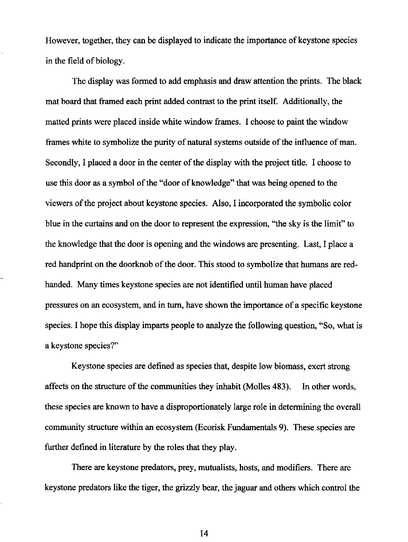However, together, they can be displayed to indicate the importance of keystone species in the field of biology.

The display was formed to add emphasis and draw attention the prints. The black mat board that framed each print added contrast to the print itself. Additionally, the matted prints were placed inside white window frames. I choose to paint the window frames white to symbolize the purity of natural systems outside of the influence of man. Secondly, I placed a door in the center of the display with the project title. I choose to use this door as a symbol of the "door of knowledge" that was being opened to the viewers of the project about keystone species. Also, I incorporated the symbolic color blue in the curtains and on the door to represent the expression, "the sky is the limit" to the knowledge that the door is opening and the windows are presenting. Last, I place a red handprint on the doorknob of the door. This stood to symbolize that humans are redhanded. Many times keystone species are not identified until human have placed pressures on an ecosystem, and in turn, have shown the importance of a specific keystone species. I hope this display imparts people to analyze the following question, "So, what is a keystone species?"

Keystone species are defined as species that, despite low biomass, exert strong affects on the structure of the communities they inhabit (Molles 483). In other words, these species are known to have a disproportionately large role in determining the overall community structure within an ecosystem (Ecorisk Fundamentals 9). These species are further defined in literature by the roles that they play.

There are keystone predators, prey, mutualists, hosts, and modifiers. There are keystone predators like the tiger, the grizzly bear, the jaguar and others which control the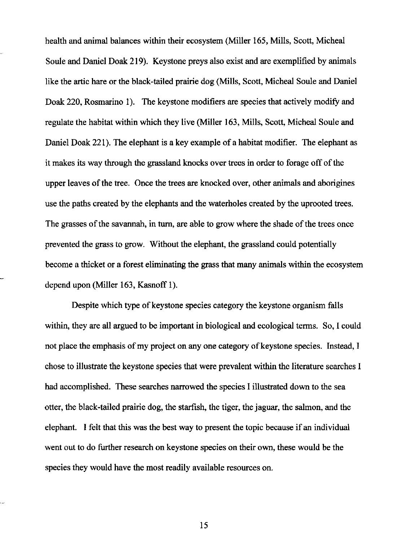health and animal balances within their ecosystem (Miller 165, Mills, Scott, Micheal Soule and Daniel Doak 219). Keystone preys also exist and are exemplified by animals like the artic hare or the black-tailed prairie dog (Mills, Scott, Micheal Soule and Daniel Doak 220, Rosmarino 1). The keystone modifiers are species that actively modify and regulate the habitat within which they live (Miller 163, Mills, Scott, Micheal Soule and Daniel Doak 221). The elephant is a key example of a habitat modifier. The elephant as it makes its way through the grassland knocks over trees in order to forage off of the upper leaves of the tree. Once the trees are knocked over, other animals and aborigines use the paths created by the elephants and the waterholes created by the uprooted trees. The grasses of the savannah, in tum, are able to grow where the shade of the trees once prevented the grass to grow. Without the elephant, the grassland could potentially become a thicket or a forest eliminating the grass that many animals within the ecosystem depend upon (Miller 163, Kasnoff 1).

Despite which type of keystone species category the keystone organism falls within, they are all argued to be important in biological and ecological terms. So, I could not place the emphasis of my project on anyone category of keystone species. Instead, I chose to illustrate the keystone species that were prevalent within the literature searches I had accomplished. These searches narrowed the species I illustrated down to the sea otter, the black-tailed prairie dog, the starfish, the tiger, the jaguar, the salmon, and the elephant. I felt that this was the best way to present the topic because if an individual went out to do further research on keystone species on their own, these would be the species they would have the most readily available resources on.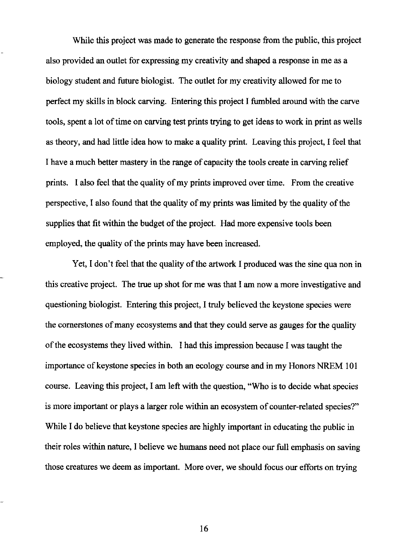While this project was made to generate the response from the public, this project also provided an outlet for expressing my creativity and shaped a response in me as a biology student and future biologist. The outlet for my creativity allowed for me to perfect my skills in block carving. Entering this project I fumbled around with the carve tools, spent a lot of time on carving test prints trying to get ideas to work in print as wells as theory, and had little idea how to make a quality print. Leaving this project, I feel that I have a much better mastery in the range of capacity the tools create in carving relief prints. I also feel that the quality of my prints improved over time. From the creative perspective, I also found that the quality of my prints was limited by the quality of the supplies that fit within the budget of the project. Had more expensive tools been employed, the quality of the prints may have been increased.

Yet, I don't feel that the quality of the artwork I produced was the sine qua non in this creative project. The true up shot for me was that I am now a more investigative and questioning biologist. Entering this project, I truly believed the keystone species were the cornerstones of many ecosystems and that they could serve as gauges for the quality of the ecosystems they lived within. I had this impression because I was taught the importance of keystone species in both an ecology course and in my Honors NREM 101 course. Leaving this project, I am left with the question, "Who is to decide what species is more important or plays a larger role within an ecosystem of counter-related species?" While I do believe that keystone species are highly important in educating the public in their roles within nature, I believe we humans need not place our full emphasis on saving those creatures we deem as important. More over, we should focus our efforts on trying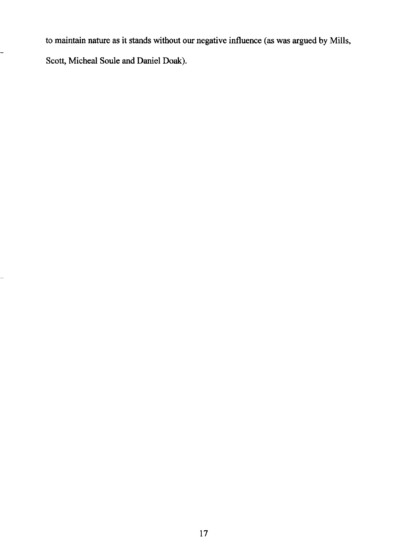to maintain nature as it stands without our negative influence (as was argued by Mills, Scott, Micheal Soule and Daniel Doak).

÷

÷